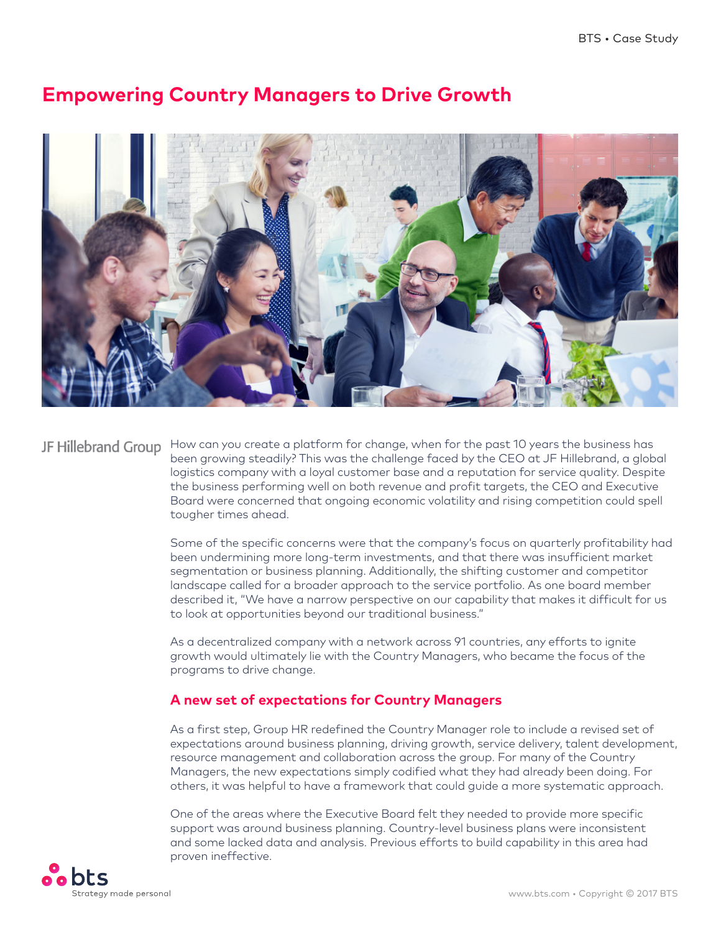

# **Empowering Country Managers to Drive Growth**

JF Hillebrand Group How can you create a platform for change, when for the past 10 years the business has been growing steadily? This was the challenge faced by the CEO at JF Hillebrand, a global logistics company with a loyal customer base and a reputation for service quality. Despite the business performing well on both revenue and profit targets, the CEO and Executive Board were concerned that ongoing economic volatility and rising competition could spell tougher times ahead.

> Some of the specific concerns were that the company's focus on quarterly profitability had been undermining more long-term investments, and that there was insufficient market segmentation or business planning. Additionally, the shifting customer and competitor landscape called for a broader approach to the service portfolio. As one board member described it, "We have a narrow perspective on our capability that makes it difficult for us to look at opportunities beyond our traditional business."

As a decentralized company with a network across 91 countries, any efforts to ignite growth would ultimately lie with the Country Managers, who became the focus of the programs to drive change.

## **A new set of expectations for Country Managers**

As a first step, Group HR redefined the Country Manager role to include a revised set of expectations around business planning, driving growth, service delivery, talent development, resource management and collaboration across the group. For many of the Country Managers, the new expectations simply codified what they had already been doing. For others, it was helpful to have a framework that could guide a more systematic approach.

One of the areas where the Executive Board felt they needed to provide more specific support was around business planning. Country-level business plans were inconsistent and some lacked data and analysis. Previous efforts to build capability in this area had [p](http://www.bts.com)roven ineffective.

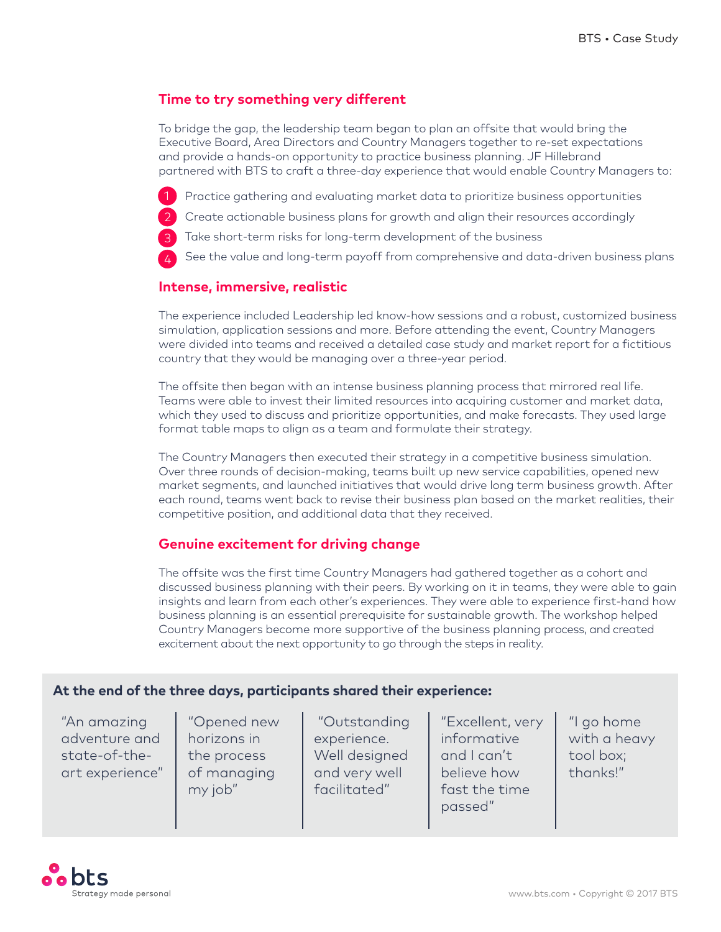# **Time to try something very different**

To bridge the gap, the leadership team began to plan an offsite that would bring the Executive Board, Area Directors and Country Managers together to re-set expectations and provide a hands-on opportunity to practice business planning. JF Hillebrand partnered with BTS to craft a three-day experience that would enable Country Managers to:

- Practice gathering and evaluating market data to prioritize business opportunities
- Create actionable business plans for growth and align their resources accordingly
- Take short-term risks for long-term development of the business

See the value and long-term payoff from comprehensive and data-driven business plans

#### **Intense, immersive, realistic**

The experience included Leadership led know-how sessions and a robust, customized business simulation, application sessions and more. Before attending the event, Country Managers were divided into teams and received a detailed case study and market report for a fictitious country that they would be managing over a three-year period.

The offsite then began with an intense business planning process that mirrored real life. Teams were able to invest their limited resources into acquiring customer and market data, which they used to discuss and prioritize opportunities, and make forecasts. They used large format table maps to align as a team and formulate their strategy.

The Country Managers then executed their strategy in a competitive business simulation. Over three rounds of decision-making, teams built up new service capabilities, opened new market segments, and launched initiatives that would drive long term business growth. After each round, teams went back to revise their business plan based on the market realities, their competitive position, and additional data that they received.

### **Genuine excitement for driving change**

The offsite was the first time Country Managers had gathered together as a cohort and discussed business planning with their peers. By working on it in teams, they were able to gain insights and learn from each other's experiences. They were able to experience first-hand how business planning is an essential prerequisite for sustainable growth. The workshop helped Country Managers become more supportive of the business planning process, and created excitement about the next opportunity to go through the steps in reality.

#### **At the end of the three days, participants shared their experience:**

"An amazing adventure and state-of-theart experience"

"Opened new horizons in the process of managing my job"

 "Outstanding experience. Well designed and very well facilitated"

"Excellent, very informative and I can't believe how fast the time passed"

"I go home with a heavy tool box; thanks!"